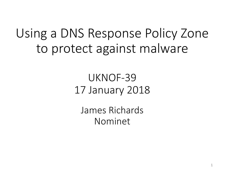#### Using a DNS Response Policy Zone to protect against malware

#### UKNOF-39 17 January 2018

James Richards Nominet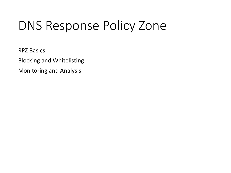**RPZ Basics** 

**Blocking and Whitelisting** 

Monitoring and Analysis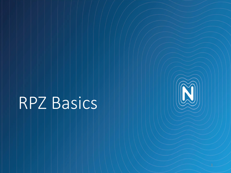# RPZ Basics

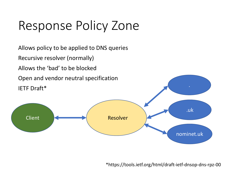Resolver .uk nominet.uk **Client** Allows policy to be applied to DNS queries Recursive resolver (normally) Allows the 'bad' to be blocked Open and vendor neutral specification IETF Draft\*

\*https://tools.ietf.org/html/draft-ietf-dnsop-dns-rpz-00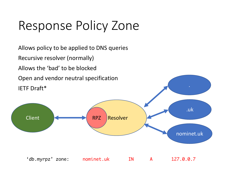Resolver .uk nominet.uk Client RPZ Allows policy to be applied to DNS queries Recursive resolver (normally) Allows the 'bad' to be blocked Open and vendor neutral specification IETF Draft\* 'db.myrpz' zone: nominet.uk IN A 127.0.0.7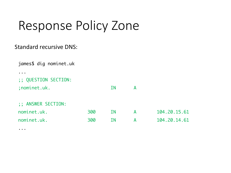#### Standard recursive DNS:

...

| james\$ dig nominet.uk |     |           |   |              |
|------------------------|-----|-----------|---|--------------|
|                        |     |           |   |              |
| ;; QUESTION SECTION:   |     |           |   |              |
| ; nominet.uk.          |     | ΙN        | A |              |
| ;; ANSWER SECTION:     |     |           |   |              |
| nominet.uk.            | 300 | <b>IN</b> | A | 104.20.15.61 |
| nominet.uk.            | 300 | <b>IN</b> | A | 104.20.14.61 |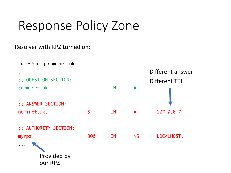#### Resolver with RPZ turned on:

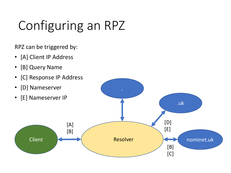## Configuring an RPZ

RPZ can be triggered by:

- [A] Client IP Address
- [B] Query Name
- [C] Response IP Address
- 
- 

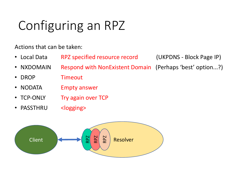## Configuring an RPZ

Actions that can be taken:

• Local Data RPZ specified resource record (UKPDNS - Block Page IP)

- NXDOMAIN Respond with NonExistent Domain (Perhaps 'best' option...?)
- DROP Timeout
- NODATA Empty answer
- TCP-ONLY Try again over TCP
- PASSTHRU <logging>

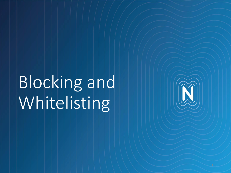Blocking and Whitelisting

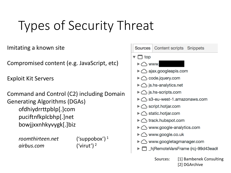### Types of Security Threat

Imitating a known site

Compromised content (e.g. JavaScript, etc)

Exploit Kit Servers

Command and Control (C2) including Domain Generating Algorithms (DGAs) ofdhiydrrttpblp[.]com puciftnfkplcbhp[.]net bowjjxxnhkyvygk[.]biz

*roomthirteen.net* ('suppobox') <sup>1</sup> *airbus.com* ('virut') <sup>2</sup>



[2] DGArchive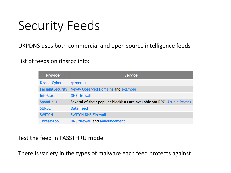#### Security Feeds

#### UKPDNS uses both commercial and open source intelligence feeds

List of feeds on dnsrpz.info:

| <b>Provider</b>         | <b>Service</b>                                                             |
|-------------------------|----------------------------------------------------------------------------|
| <b>DissectCyber</b>     | rpzone.us                                                                  |
| <b>FarsightSecurity</b> | <b>Newly Observed Domains and example</b>                                  |
| <b>InfoBlox</b>         | <b>DNS firewall</b>                                                        |
| <b>SpamHaus</b>         | Several of their popular blocklists are available via RPZ. Article Pricing |
| <b>SURBL</b>            | <b>Data Feed</b>                                                           |
| <b>SWITCH</b>           | <b>SWITCH DNS Firewall</b>                                                 |
| <b>ThreatStop</b>       | DNS firewall and announcement                                              |

#### Test the feed in PASSTHRU mode

There is variety in the types of malware each feed protects against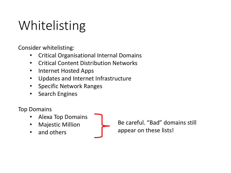## Whitelisting

Consider whitelisting:

- Critical Organisational Internal Domains
- Critical Content Distribution Networks
- Internet Hosted Apps
- Updates and Internet Infrastructure
- Specific Network Ranges
- Search Engines

Top Domains

- Alexa Top Domains
- **Majestic Million**
- and others

Be careful. "Bad" domains still appear on these lists!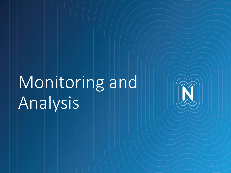## Monitoring and Analysis

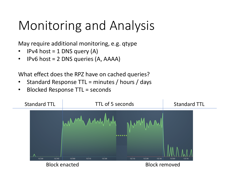#### Monitoring and Analysis

May require additional monitoring, e.g. qtype

- IPv4 host  $= 1$  DNS query (A)
- IPv6 host  $= 2$  DNS queries (A, AAAA)

What effect does the RPZ have on cached queries?

- Standard Response TTL = minutes / hours / days
- Blocked Response TTL = seconds

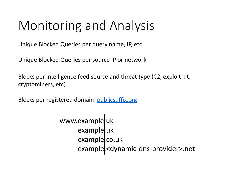#### Monitoring and Analysis

Unique Blocked Queries per query name, IP, etc.

Unique Blocked Queries per source IP or network

Blocks per intelligence feed source and threat type (C2, exploit kit, cryptominers, etc)

Blocks per registered domain: publicsuffix.org

www.example.uk exampleluk example.co.uk example <dynamic-dns-provider>.net